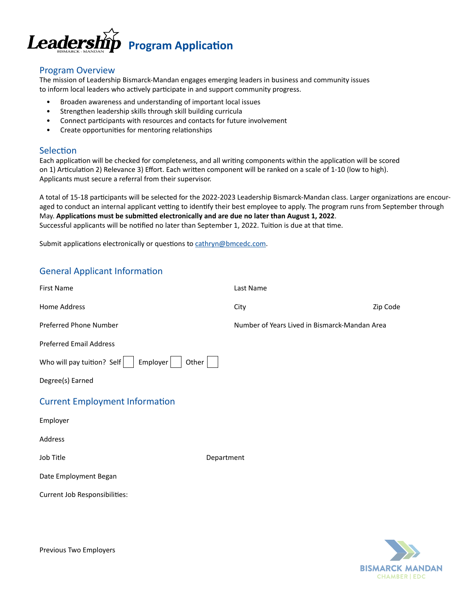

## Program Overview

The mission of Leadership Bismarck-Mandan engages emerging leaders in business and community issues to inform local leaders who actively participate in and support community progress.

- Broaden awareness and understanding of important local issues
- Strengthen leadership skills through skill building curricula
- Connect participants with resources and contacts for future involvement
- Create opportunities for mentoring relationships

### Selection

Each application will be checked for completeness, and all writing components within the application will be scored on 1) Articulation 2) Relevance 3) Effort. Each written component will be ranked on a scale of 1-10 (low to high). Applicants must secure a referral from their supervisor.

A total of 15-18 participants will be selected for the 2022-2023 Leadership Bismarck-Mandan class. Larger organizations are encouraged to conduct an internal applicant vetting to identify their best employee to apply. The program runs from September through May. **Applications must be submitted electronically and are due no later than August 1, 2022**. Successful applicants will be notified no later than September 1, 2022. Tuition is due at that time.

Submit applications electronically or questions to cathryn@bmcedc.com.

# General Applicant Information

| <b>First Name</b>                               | Last Name  |                                               |  |
|-------------------------------------------------|------------|-----------------------------------------------|--|
| Home Address                                    | City       | Zip Code                                      |  |
| Preferred Phone Number                          |            | Number of Years Lived in Bismarck-Mandan Area |  |
| <b>Preferred Email Address</b>                  |            |                                               |  |
| Who will pay tuition? Self<br>Employer<br>Other |            |                                               |  |
| Degree(s) Earned                                |            |                                               |  |
| <b>Current Employment Information</b>           |            |                                               |  |
| Employer                                        |            |                                               |  |
| Address                                         |            |                                               |  |
| Job Title                                       | Department |                                               |  |
| Date Employment Began                           |            |                                               |  |
| Current Job Responsibilities:                   |            |                                               |  |
|                                                 |            |                                               |  |



Previous Two Employers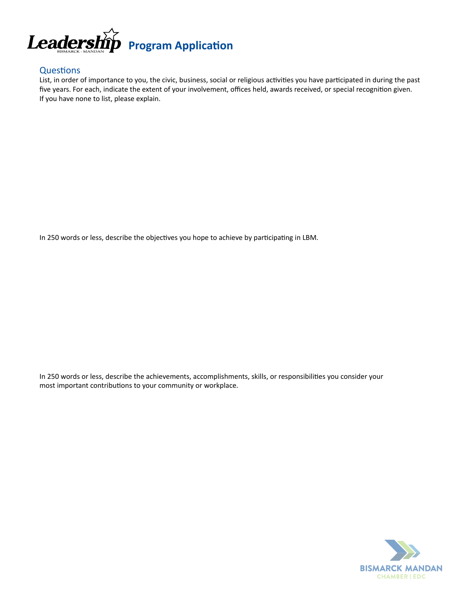

# **Questions**

List, in order of importance to you, the civic, business, social or religious activities you have participated in during the past five years. For each, indicate the extent of your involvement, offices held, awards received, or special recognition given. If you have none to list, please explain.

In 250 words or less, describe the objectives you hope to achieve by participating in LBM.

In 250 words or less, describe the achievements, accomplishments, skills, or responsibilities you consider your most important contributions to your community or workplace.

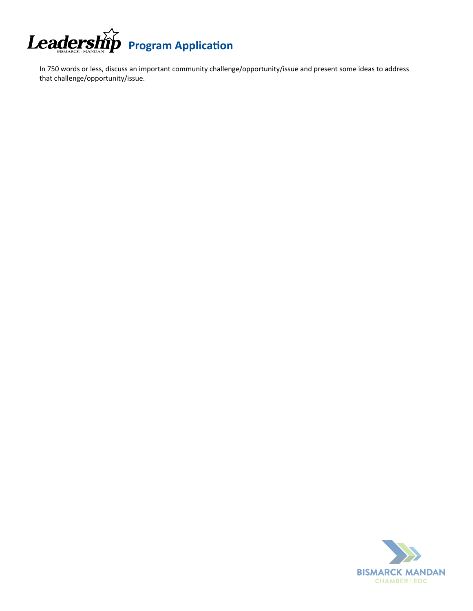

In 750 words or less, discuss an important community challenge/opportunity/issue and present some ideas to address that challenge/opportunity/issue.